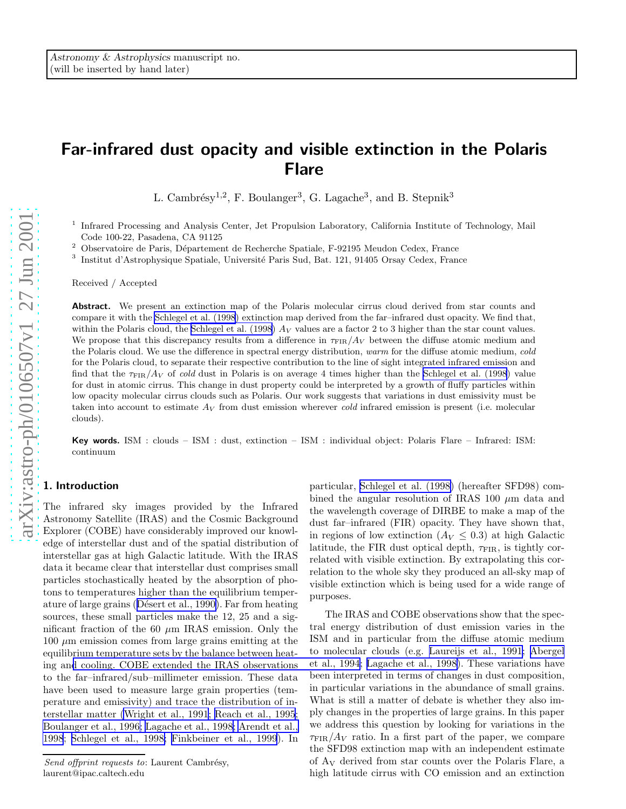# Far-infrared dust opacity and visible extinction in the Polaris Flare

L. Cambrésy<sup>1,2</sup>, F. Boulanger<sup>3</sup>, G. Lagache<sup>3</sup>, and B. Stepnik<sup>3</sup>

<sup>1</sup> Infrared Processing and Analysis Center, Jet Propulsion Laboratory, California Institute of Technology, Mail Code 100-22, Pasadena, CA 91125

<sup>2</sup> Observatoire de Paris, Département de Recherche Spatiale, F-92195 Meudon Cedex, France

<sup>3</sup> Institut d'Astrophysique Spatiale, Université Paris Sud, Bat. 121, 91405 Orsay Cedex, France

Received / Accepted

Abstract. We present an extinction map of the Polaris molecular cirrus cloud derived from star counts and compare it with the [Schlegel et al. \(1998](#page-8-0)) extinction map derived from the far–infrared dust opacity. We find that, within the Polaris cloud, the [Schlegel et al. \(1998](#page-8-0))  $Av$  values are a factor 2 to 3 higher than the star count values. We propose that this discrepancy results from a difference in  $\tau_{\text{FIR}}/A_V$  between the diffuse atomic medium and the Polaris cloud. We use the difference in spectral energy distribution, warm for the diffuse atomic medium, cold for the Polaris cloud, to separate their respective contribution to the line of sight integrated infrared emission and find that the  $\tau_{\rm FIR}/A_V$  of cold dust in Polaris is on average 4 times higher than the Schlegel [et al. \(1998\)](#page-8-0) value for dust in atomic cirrus. This change in dust property could be interpreted by a growth of fluffy particles within low opacity molecular cirrus clouds such as Polaris. Our work suggests that variations in dust emissivity must be taken into account to estimate  $A_V$  from dust emission wherever cold infrared emission is present (i.e. molecular clouds).

Key words. ISM : clouds – ISM : dust, extinction – ISM : individual object: Polaris Flare – Infrared: ISM: continuum

# 1. Introduction

The infrared sky images provided by the Infrared Astronomy Satellite (IRAS) and the Cosmic Background Explorer (COBE) have considerably improved our knowledge of interstellar dust and of the spatial distribution of interstellar gas at high Galactic latitude. With the IRAS data it became clear that interstellar dust comprises small particles stochastically heated by the absorption of photons to temperatures higher than the equilibrium temperatureof large grains (Désert et al., 1990). Far from heating sources, these small particles make the 12, 25 and a significant fraction of the 60  $\mu$ m IRAS emission. Only the  $100 \mu m$  emission comes from large grains emitting at the equilibrium temperature sets by the balance between heating an[d cooling. COBE extended the IRAS observations](#page-8-0) to the far–infrared/sub–millimeter emission. These data have been used to measure large grain properties (temperature and emissivity) and trace the distribution of interstellar matter [\(Wright et al., 1991; Reach et al., 1995](#page-8-0); [Boulanger et al., 1996; Lagache et al., 1998; Arendt et al.,](#page-8-0) [1998](#page-8-0); [Schlegel et al., 1998; Finkbeiner et al., 1999](#page-8-0)). In

Send offprint requests to: Laurent Cambrésy, laurent@ipac.caltech.edu

particular, [Schlegel et al. \(1998\)](#page-8-0) (hereafter SFD98) combined the angular resolution of IRAS 100  $\mu$ m data and the wavelength coverage of DIRBE to make a map of the dust far–infrared (FIR) opacity. They have shown that, in regions of low extinction  $(A_V \leq 0.3)$  at high Galactic latitude, the FIR dust optical depth,  $\tau_{\text{FIR}}$ , is tightly correlated with visible extinction. By extrapolating this correlation to the whole sky they produced an all-sky map of visible extinction which is being used for a wide range of purposes.

The IRAS and COBE observations show that the spectral energy distribution of dust emission varies in the ISM and in particular from the diffuse atomic medium to molecular clouds (e.g. [Laureijs et al., 1991](#page-8-0); [Abergel](#page-8-0) et al., 1994; [Lagache et al., 1998\)](#page-8-0). These variations have been interpreted in terms of changes in dust composition, in particular variations in the abundance of small grains. What is still a matter of debate is whether they also imply changes in the properties of large grains. In this paper we address this question by looking for variations in the  $\tau_{\text{FIR}}/A_V$  ratio. In a first part of the paper, we compare the SFD98 extinction map with an independent estimate of A <sup>V</sup> derived from star counts over the Polaris Flare, a high latitude cirrus with CO emission and an extinction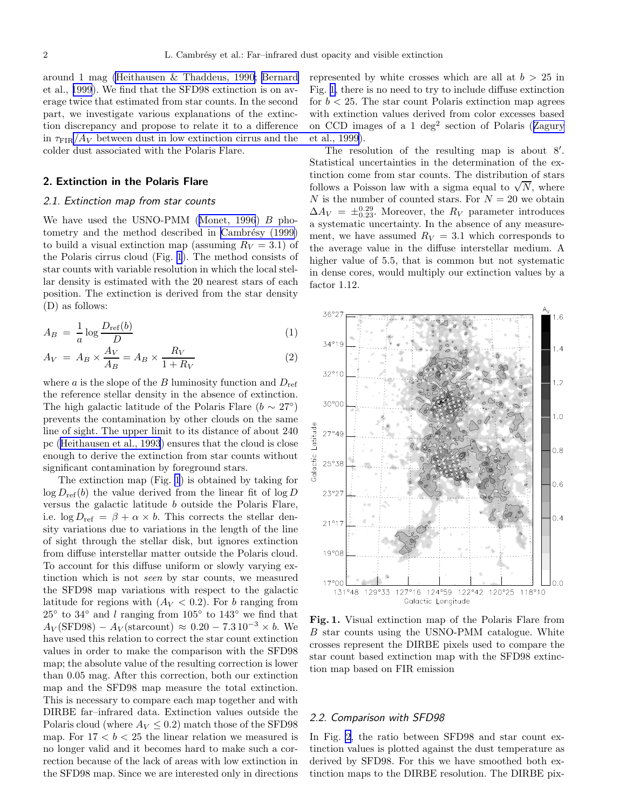<span id="page-1-0"></span>around 1 mag [\(Heithausen & Thaddeus, 1990](#page-8-0); [Bernard](#page-8-0) et al., [1999](#page-8-0)). We find that the SFD98 extinction is on average twice that estimated from star counts. In the second part, we investigate various explanations of the extinction discrepancy and propose to relate it to a difference in  $\tau_{\text{FIR}}/A_V$  [between dust in low extinction cirrus and the](#page-8-0) colder dust associated with the Polaris Flare.

#### 2. Extinction in the Polaris Flare

# 2.1. Extinction map from star counts

Wehave used the USNO-PMM ([Monet, 1996](#page-8-0))  $B$  photometry and the method described in Cambrésy (1999) to build a visual extinction map (assuming  $R_V = 3.1$ ) of the Polaris cirrus cloud (Fig. 1). The method consists of star counts with variable resolution in which the local stellar density is estimated with the 20 nearest stars of each position. The extinction is derived from the star density (D) as follows:

$$
A_B = \frac{1}{a} \log \frac{D_{\text{ref}}(b)}{D} \tag{1}
$$

$$
A_V = A_B \times \frac{A_V}{A_B} = A_B \times \frac{R_V}{1 + R_V} \tag{2}
$$

where  $a$  is the slope of the  $B$  luminosity function and  $D_{ref}$ the reference stellar density in the absence of extinction. The high galactic latitude of the Polaris Flare ( $b \sim 27^{\circ}$ ) prevents the contamination by other clouds on the same line of sight. The upper limit to its distance of about 240 pc([Heithausen et al., 1993](#page-8-0)) ensures that the cloud is close enough to derive the extinction from star counts without significant contamination by foreground stars.

The extinction map (Fig. 1) is obtained by taking for  $\log D_{\text{ref}}(b)$  the value derived from the linear fit of  $\log D$ versus the galactic latitude b outside the Polaris Flare, i.e.  $\log D_{\text{ref}} = \beta + \alpha \times b$ . This corrects the stellar density variations due to variations in the length of the line of sight through the stellar disk, but ignores extinction from diffuse interstellar matter outside the Polaris cloud. To account for this diffuse uniform or slowly varying extinction which is not seen by star counts, we measured the SFD98 map variations with respect to the galactic latitude for regions with  $(A_V < 0.2)$ . For b ranging from  $25°$  to  $34°$  and l ranging from  $105°$  to  $143°$  we find that  $A_V(\text{SFD98}) - A_V(\text{starcount}) \approx 0.20 - 7.3 \cdot 10^{-3} \times b$ . We have used this relation to correct the star count extinction values in order to make the comparison with the SFD98 map; the absolute value of the resulting correction is lower than 0.05 mag. After this correction, both our extinction map and the SFD98 map measure the total extinction. This is necessary to compare each map together and with DIRBE far–infrared data. Extinction values outside the Polaris cloud (where  $A_V \leq 0.2$ ) match those of the SFD98 map. For  $17 < b < 25$  the linear relation we measured is no longer valid and it becomes hard to make such a correction because of the lack of areas with low extinction in the SFD98 map. Since we are interested only in directions

represented by white crosses which are all at  $b > 25$  in Fig. 1, there is no need to try to include diffuse extinction for  $b < 25$ . The star count Polaris extinction map agrees with extinction values derived from color excesses based onCCD images of a 1 deg<sup>2</sup> section of Polaris ([Zagury](#page-8-0) et al., 1999).

The resolution of the resulting map is about 8'. Statistical uncertainties in the determination of the extinction come from star counts. The distribution of stars follows a Poisson law with a sigma equal to  $\sqrt{N}$ , where  $N$  is the number of counted stars. For  $N = 20$  we obtain  $\Delta A_V = \pm_{0.23}^{0.29}$ . Moreover, the  $R_V$  parameter introduces a systematic uncertainty. In the absence of any measurement, we have assumed  $R_V = 3.1$  which corresponds to the average value in the diffuse interstellar medium. A higher value of 5.5, that is common but not systematic in dense cores, would multiply our extinction values by a factor 1.12.



Fig. 1. Visual extinction map of the Polaris Flare from B star counts using the USNO-PMM catalogue. White crosses represent the DIRBE pixels used to compare the star count based extinction map with the SFD98 extinction map based on FIR emission

#### 2.2. Comparison with SFD98

In Fig. [2](#page-2-0), the ratio between SFD98 and star count extinction values is plotted against the dust temperature as derived by SFD98. For this we have smoothed both extinction maps to the DIRBE resolution. The DIRBE pix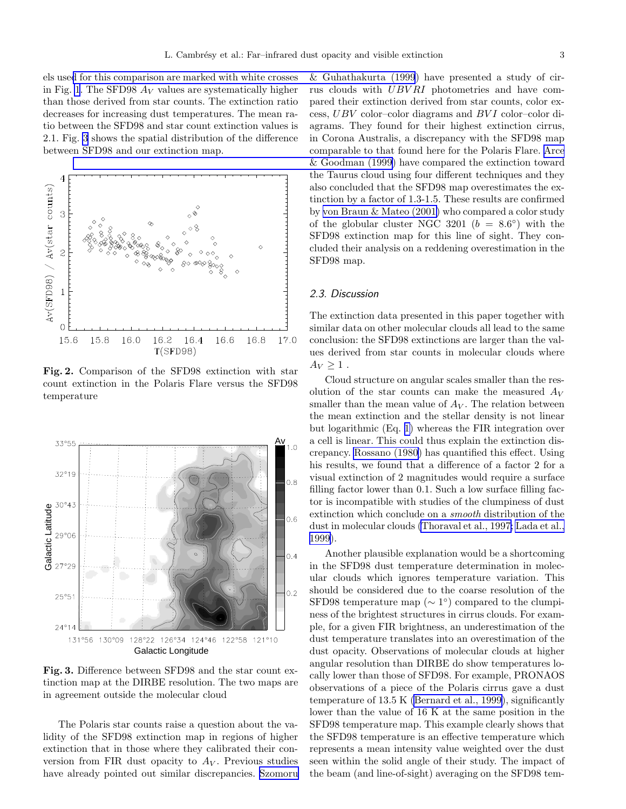<span id="page-2-0"></span>els use[d for this comparison are marked with white crosses](#page-8-0) in Fig. [1](#page-1-0). The SFD98  $A_V$  values are systematically higher than those derived from star counts. The extinction ratio decreases for increasing dust temperatures. The mean ratio between the SFD98 and star count extinction values is 2.1. Fig. 3 shows the spatial distribution of the difference between SFD98 and our extinction map.



Fig. 2. Comparison of the SFD98 extinction with star count extinction in the Polaris Flare versus the SFD98 temperature



Fig. 3. Difference between SFD98 and the star count extinction map at the DIRBE resolution. The two maps are in agreement outside the molecular cloud

The Polaris star counts raise a question about the validity of the SFD98 extinction map in regions of higher extinction that in those where they calibrated their conversion from FIR dust opacity to  $A_V$ . Previous studies have already pointed out similar discrepancies. [Szomoru](#page-8-0)

& Guhathakurta (1999) have presented a study of cirrus clouds with UBV RI photometries and have compared their extinction derived from star counts, color excess,  $UBV$  color–color diagrams and  $BVI$  color–color diagrams. They found for their highest extinction cirrus, in Corona Australis, a discrepancy with the SFD98 map comparable to that found here for the Polaris Flare. [Arce](#page-8-0) [& Goodman \(1999\)](#page-8-0) have compared the extinction toward the Taurus cloud using four different techniques and they also concluded that the SFD98 map overestimates the extinction by a factor of 1.3-1.5. These results are confirmed by [von Braun & Mateo \(2001\)](#page-8-0) who compared a color study of the globular cluster NGC 3201 ( $b = 8.6^{\circ}$ ) with the SFD98 extinction map for this line of sight. They concluded their analysis on a reddening overestimation in the SFD98 map.

### 2.3. Discussion

The extinction data presented in this paper together with similar data on other molecular clouds all lead to the same conclusion: the SFD98 extinctions are larger than the values derived from star counts in molecular clouds where  $A_V \geq 1$ .

Cloud structure on angular scales smaller than the resolution of the star counts can make the measured  $A_V$ smaller than the mean value of  $A_V$ . The relation between the mean extinction and the stellar density is not linear but logarithmic (Eq. [1\)](#page-1-0) whereas the FIR integration over a cell is linear. This could thus explain the extinction discrepancy. [Rossano \(1980](#page-8-0)) has quantified this effect. Using his results, we found that a difference of a factor 2 for a visual extinction of 2 magnitudes would require a surface filling factor lower than 0.1. Such a low surface filling factor is incompatible with studies of the clumpiness of dust extinction which conclude on a smooth distribution of the dust in molecular clouds [\(Thoraval et al., 1997; Lada et al.,](#page-8-0) [1999](#page-8-0)).

Another plausible explanation would be a shortcoming in the SFD98 dust temperature determination in molecular clouds which ignores temperature variation. This should be considered due to the coarse resolution of the SFD98 temperature map ( $\sim 1^{\circ}$ ) compared to the clumpiness of the brightest structures in cirrus clouds. For example, for a given FIR brightness, an underestimation of the dust temperature translates into an overestimation of the dust opacity. Observations of molecular clouds at higher angular resolution than DIRBE do show temperatures locally lower than those of SFD98. For example, PRONAOS observations of a piece of the Polaris cirrus gave a dust temperature of 13.5 K [\(Bernard et al., 1999\)](#page-8-0), significantly lower than the value of 16 K at the same position in the SFD98 temperature map. This example clearly shows that the SFD98 temperature is an effective temperature which represents a mean intensity value weighted over the dust seen within the solid angle of their study. The impact of the beam (and line-of-sight) averaging on the SFD98 tem-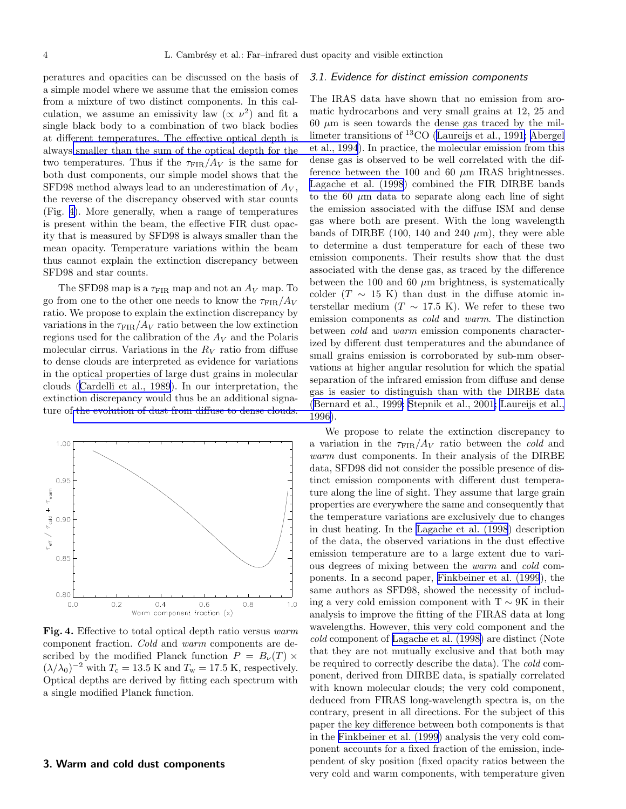peratures and opacities can be discussed on the basis of a simple model where we assume that the emission comes from a mixture of two distinct components. In this calculation, we assume an emissivity law  $(\propto \nu^2)$  and fit a single black body to a combination of two black bodies at different temperatures. The effective optical depth is always [smaller than the sum of the optical depth for the](#page-8-0) two temperatures. Thus if the  $\tau_{\text{FIR}}/A_V$  is the same for both dust components, our simple model shows that the SFD98 method always lead to an underestimation of  $A_V$ , the reverse of the discrepancy observed with star counts (Fig. 4). More generally, when a range of temperatures is present within the beam, the effective FIR dust opacity that is measured by SFD98 is always smaller than the mean opacity. Temperature variations within the beam thus cannot explain the extinction discrepancy between SFD98 and star counts.

The SFD98 map is a  $\tau_{\text{FIR}}$  map and not an  $A_V$  map. To go from one to the other one needs to know the  $\tau_{\text{FIR}}/A_V$ ratio. We propose to explain the extinction discrepancy by variations in the  $\tau_{\text{FIR}}/A_V$  ratio between the low extinction regions used for the calibration of the  $A_V$  and the Polaris molecular cirrus. Variations in the  $R_V$  ratio from diffuse to dense clouds are interpreted as evidence for variations in the optical properties of large dust grains in molecular clouds([Cardelli et al., 1989](#page-8-0)). In our interpretation, the extinction discrepancy would thus be an additional signature of [the evolution of dust from diffuse to dense clouds.](#page-8-0)



Fig. 4. Effective to total optical depth ratio versus warm component fraction. Cold and warm components are described by the modified Planck function  $P = B_{\nu}(T) \times$  $(\lambda/\lambda_0)^{-2}$  with  $T_c = 13.5$  K and  $T_w = 17.5$  K, respectively. Optical depths are derived by fitting each spectrum with a single modified Planck function.

# 3. Warm and cold dust components

# 3.1. Evidence for distinct emission components

The IRAS data have shown that no emission from aromatic hydrocarbons and very small grains at 12, 25 and  $60 \mu m$  is seen towards the dense gas traced by the millimeter transitions of <sup>13</sup>CO [\(Laureijs et al., 1991; Abergel](#page-8-0) et al., 1994). In practice, the molecular emission from this dense gas is observed to be well correlated with the difference between the 100 and 60  $\mu$ m IRAS brightnesses. [Lagache et al. \(1998](#page-8-0)) combined the FIR DIRBE bands to the 60  $\mu$ m data to separate along each line of sight the emission associated with the diffuse ISM and dense gas where both are present. With the long wavelength bands of DIRBE (100, 140 and 240  $\mu$ m), they were able to determine a dust temperature for each of these two emission components. Their results show that the dust associated with the dense gas, as traced by the difference between the 100 and 60  $\mu$ m brightness, is systematically colder (T  $\sim$  15 K) than dust in the diffuse atomic interstellar medium ( $T \sim 17.5$  K). We refer to these two emission components as cold and warm. The distinction between cold and warm emission components characterized by different dust temperatures and the abundance of small grains emission is corroborated by sub-mm observations at higher angular resolution for which the spatial separation of the infrared emission from diffuse and dense gas is easier to distinguish than with the DIRBE data ([Bernard et al., 1999; Stepnik et al., 2001; Laureijs et al.,](#page-8-0) 1996).

We propose to relate the extinction discrepancy to a variation in the  $\tau_{\text{FIR}}/A_V$  ratio between the *cold* and warm dust components. In their analysis of the DIRBE data, SFD98 did not consider the possible presence of distinct emission components with different dust temperature along the line of sight. They assume that large grain properties are everywhere the same and consequently that the temperature variations are exclusively due to changes in dust heating. In the [Lagache et al. \(1998](#page-8-0)) description of the data, the observed variations in the dust effective emission temperature are to a large extent due to various degrees of mixing between the warm and cold components. In a second paper, [Finkbeiner et al. \(1999](#page-8-0)), the same authors as SFD98, showed the necessity of including a very cold emission component with  $T \sim 9K$  in their analysis to improve the fitting of the FIRAS data at long wavelengths. However, this very cold component and the cold component of [Lagache et al. \(1998\)](#page-8-0) are distinct (Note that they are not mutually exclusive and that both may be required to correctly describe the data). The cold component, derived from DIRBE data, is spatially correlated with known molecular clouds; the very cold component, deduced from FIRAS long-wavelength spectra is, on the contrary, present in all directions. For the subject of this paper the key difference between both components is that in the [Finkbeiner et al. \(1999](#page-8-0)) analysis the very cold component accounts for a fixed fraction of the emission, independent of sky position (fixed opacity ratios between the very cold and warm components, with temperature given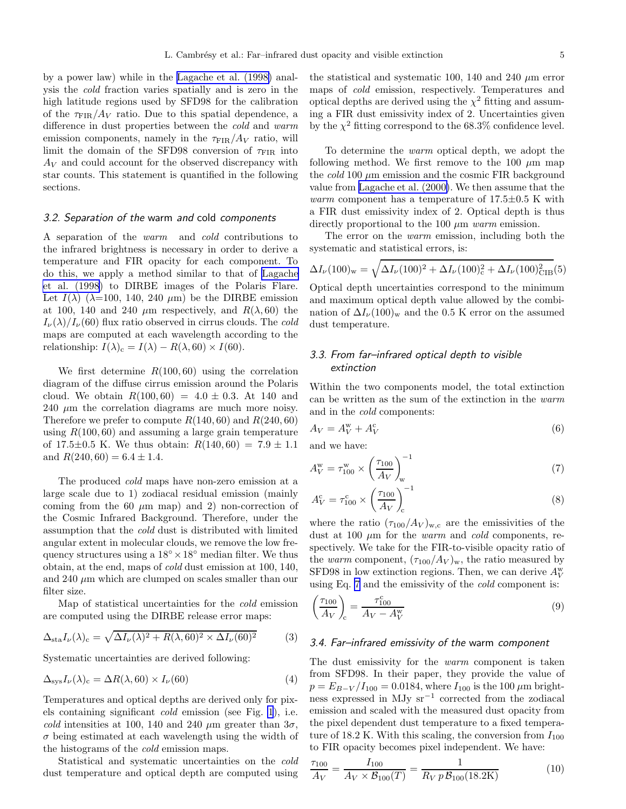<span id="page-4-0"></span>by a power law) while in the [Lagache et al. \(1998\)](#page-8-0) analysis the cold fraction varies spatially and is zero in the high latitude regions used by SFD98 for the calibration of the  $\tau_{\text{FIR}}/A_V$  ratio. Due to this spatial dependence, a difference in dust properties between the cold and warm emission components, namely in the  $\tau_{\text{FIR}}/A_V$  ratio, will limit the domain of the SFD98 conversion of  $\tau_{\text{FIR}}$  into  $A_V$  and could account for the observed discrepancy with star counts. This statement is quantified in the following sections.

# 3.2. Separation of the warm and cold components

A separation of the warm and cold contributions to the infrared brightness is necessary in order to derive a temperature and FIR opacity for each component. To do this, we apply a method similar to that of [Lagache](#page-8-0) [et al. \(1998](#page-8-0)) to DIRBE images of the Polaris Flare. Let  $I(\lambda)$  ( $\lambda$ =100, 140, 240  $\mu$ m) be the DIRBE emission at 100, 140 and 240  $\mu$ m respectively, and  $R(\lambda, 60)$  the  $I_{\nu}(\lambda)/I_{\nu}(60)$  flux ratio observed in cirrus clouds. The cold maps are computed at each wavelength according to the relationship:  $I(\lambda)_{c} = I(\lambda) - R(\lambda, 60) \times I(60)$ .

We first determine  $R(100, 60)$  using the correlation diagram of the diffuse cirrus emission around the Polaris cloud. We obtain  $R(100, 60) = 4.0 \pm 0.3$ . At 140 and  $240 \mu m$  the correlation diagrams are much more noisy. Therefore we prefer to compute  $R(140, 60)$  and  $R(240, 60)$ using  $R(100, 60)$  and assuming a large grain temperature of 17.5 $\pm$ 0.5 K. We thus obtain:  $R(140, 60) = 7.9 \pm 1.1$ and  $R(240, 60) = 6.4 \pm 1.4$ .

The produced cold maps have non-zero emission at a large scale due to 1) zodiacal residual emission (mainly coming from the 60  $\mu$ m map) and 2) non-correction of the Cosmic Infrared Background. Therefore, under the assumption that the cold dust is distributed with limited angular extent in molecular clouds, we remove the low frequency structures using a  $18° \times 18°$  median filter. We thus obtain, at the end, maps of cold dust emission at 100, 140, and 240  $\mu$ m which are clumped on scales smaller than our filter size.

Map of statistical uncertainties for the cold emission are computed using the DIRBE release error maps:

$$
\Delta_{\text{sta}} I_{\nu}(\lambda)_{\text{c}} = \sqrt{\Delta I_{\nu}(\lambda)^2 + R(\lambda, 60)^2 \times \Delta I_{\nu}(60)^2}
$$
(3)

Systematic uncertainties are derived following:

$$
\Delta_{\rm sys} I_{\nu}(\lambda)_{\rm c} = \Delta R(\lambda, 60) \times I_{\nu}(60) \tag{4}
$$

Temperatures and optical depths are derived only for pixels containing significant cold emission (see Fig. [1](#page-1-0)), i.e. cold intensities at 100, 140 and 240  $\mu$ m greater than  $3\sigma$ ,  $\sigma$  being estimated at each wavelength using the width of the histograms of the *cold* emission maps.

Statistical and systematic uncertainties on the cold dust temperature and optical depth are computed using

the statistical and systematic 100, 140 and 240  $\mu$ m error maps of cold emission, respectively. Temperatures and optical depths are derived using the  $\chi^2$  fitting and assuming a FIR dust emissivity index of 2. Uncertainties given by the  $\chi^2$  fitting correspond to the 68.3% confidence level.

To determine the warm optical depth, we adopt the following method. We first remove to the 100  $\mu$ m map the cold 100  $\mu$ m emission and the cosmic FIR background value from [Lagache et al. \(2000\)](#page-8-0). We then assume that the *warm* component has a temperature of  $17.5\pm0.5$  K with a FIR dust emissivity index of 2. Optical depth is thus directly proportional to the 100  $\mu$ m warm emission.

The error on the warm emission, including both the systematic and statistical errors, is:

$$
\Delta I_{\nu}(100)_{\rm w} = \sqrt{\Delta I_{\nu}(100)^2 + \Delta I_{\nu}(100)_{\rm c}^2 + \Delta I_{\nu}(100)_{\rm CIB}^2(5)}
$$

Optical depth uncertainties correspond to the minimum and maximum optical depth value allowed by the combination of  $\Delta I_{\nu}(100)_{\rm w}$  and the 0.5 K error on the assumed dust temperature.

# 3.3. From far–infrared optical depth to visible extinction

Within the two components model, the total extinction can be written as the sum of the extinction in the warm and in the cold components:

$$
A_V = A_V^{\rm w} + A_V^{\rm c} \tag{6}
$$

and we have:

$$
A_V^{\rm w} = \tau_{100}^{\rm w} \times \left(\frac{\tau_{100}}{A_V}\right)_{\rm w}^{-1} \tag{7}
$$

$$
A_V^{\rm c} = \tau_{100}^{\rm c} \times \left(\frac{\tau_{100}}{A_V}\right)_{\rm c}^{-1}
$$
 (8)

where the ratio  $(\tau_{100}/A_V)_{w,c}$  are the emissivities of the dust at 100  $\mu$ m for the *warm* and *cold* components, respectively. We take for the FIR-to-visible opacity ratio of the warm component,  $(\tau_{100}/A_V)_w$ , the ratio measured by SFD98 in low extinction regions. Then, we can derive  $A_V^{\rm w}$ using Eq. 7 and the emissivity of the cold component is:

$$
\left(\frac{\tau_{100}}{A_V}\right)_{\rm c} = \frac{\tau_{100}^{\rm c}}{A_V - A_V^{\rm w}}
$$
\n(9)

# 3.4. Far–infrared emissivity of the warm component

The dust emissivity for the *warm* component is taken from SFD98. In their paper, they provide the value of  $p = E_{B-V}/I_{100} = 0.0184$ , where  $I_{100}$  is the 100  $\mu$ m brightness expressed in MJy sr−<sup>1</sup> corrected from the zodiacal emission and scaled with the measured dust opacity from the pixel dependent dust temperature to a fixed temperature of 18.2 K. With this scaling, the conversion from  $I_{100}$ to FIR opacity becomes pixel independent. We have:

$$
\frac{\tau_{100}}{A_V} = \frac{I_{100}}{A_V \times \mathcal{B}_{100}(T)} = \frac{1}{R_V p \mathcal{B}_{100}(18.2 \text{K})}
$$
(10)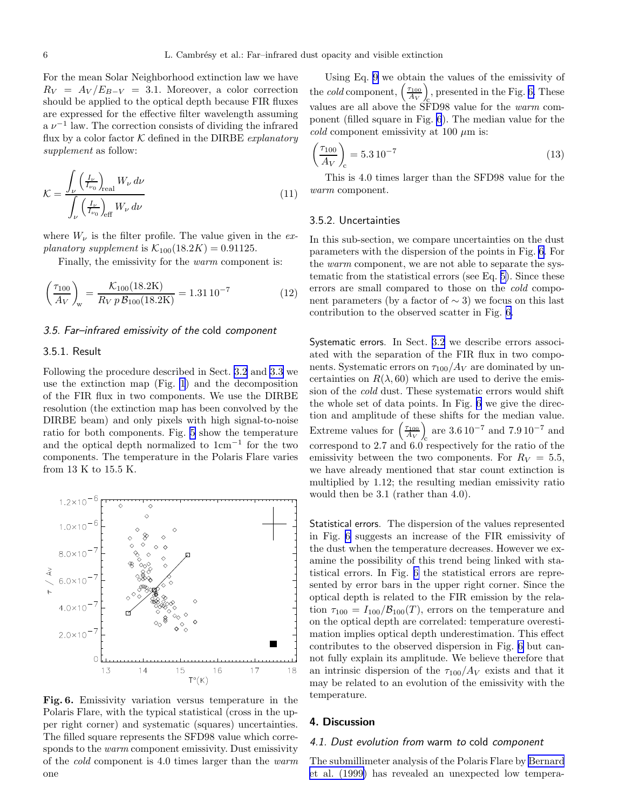For the mean Solar Neighborhood extinction law we have  $R_V = A_V / E_{B-V} = 3.1$ . Moreover, a color correction should be applied to the optical depth because FIR fluxes are expressed for the effective filter wavelength assuming  $a \nu^{-1}$  law. The correction consists of dividing the infrared flux by a color factor  $K$  defined in the DIRBE *explanatory* supplement as follow:

$$
\mathcal{K} = \frac{\int_{\nu} \left(\frac{I_{\nu}}{I_{\nu_0}}\right)_{\text{real}} W_{\nu} \, d\nu}{\int_{\nu} \left(\frac{I_{\nu}}{I_{\nu_0}}\right)_{\text{eff}} W_{\nu} \, d\nu} \tag{11}
$$

where  $W_{\nu}$  is the filter profile. The value given in the explanatory supplement is  $\mathcal{K}_{100}(18.2K) = 0.91125$ .

Finally, the emissivity for the warm component is:

$$
\left(\frac{\tau_{100}}{A_V}\right)_w = \frac{\mathcal{K}_{100}(18.2 \text{K})}{R_V p \mathcal{B}_{100}(18.2 \text{K})} = 1.31 10^{-7} \tag{12}
$$

### 3.5. Far–infrared emissivity of the cold component

## 3.5.1. Result

Following the procedure described in Sect. [3.2](#page-4-0) and [3.3](#page-4-0) we use the extinction map (Fig. [1](#page-1-0)) and the decomposition of the FIR flux in two components. We use the DIRBE resolution (the extinction map has been convolved by the DIRBE beam) and only pixels with high signal-to-noise ratio for both components. Fig. [5](#page-6-0) show the temperature and the optical depth normalized to 1cm<sup>−</sup><sup>1</sup> for the two components. The temperature in the Polaris Flare varies from 13 K to 15.5 K.



Fig. 6. Emissivity variation versus temperature in the Polaris Flare, with the typical statistical (cross in the upper right corner) and systematic (squares) uncertainties. The filled square represents the SFD98 value which corresponds to the *warm* component emissivity. Dust emissivity of the cold component is 4.0 times larger than the warm one

Using Eq. [9](#page-4-0) we obtain the values of the emissivity of the *cold* component,  $\left(\frac{\tau_{100}}{A_V}\right)$ c , presented in the Fig. 6. These values are all above the SFD98 value for the warm component (filled square in Fig. 6). The median value for the cold component emissivity at 100  $\mu$ m is:

$$
\left(\frac{\tau_{100}}{A_V}\right)_{\rm c} = 5.3 \, 10^{-7} \tag{13}
$$

This is 4.0 times larger than the SFD98 value for the warm component.

#### 3.5.2. Uncertainties

In this sub-section, we compare uncertainties on the dust parameters with the dispersion of the points in Fig. 6. For the warm component, we are not able to separate the systematic from the statistical errors (see Eq. [5\)](#page-4-0). Since these errors are small compared to those on the cold component parameters (by a factor of  $\sim$  3) we focus on this last contribution to the observed scatter in Fig. 6.

Systematic errors. In Sect. [3.2](#page-4-0) we describe errors associated with the separation of the FIR flux in two components. Systematic errors on  $\tau_{100}/A_V$  are dominated by uncertainties on  $R(\lambda, 60)$  which are used to derive the emission of the cold dust. These systematic errors would shift the whole set of data points. In Fig. 6 we give the direction and amplitude of these shifts for the median value. Extreme values for  $\left(\frac{\tau_{100}}{A_V}\right)$  $\int_{c}$  are 3.6 10<sup>-7</sup> and 7.9 10<sup>-7</sup> and correspond to 2.7 and 6.0 respectively for the ratio of the emissivity between the two components. For  $R_V = 5.5$ , we have already mentioned that star count extinction is multiplied by 1.12; the resulting median emissivity ratio would then be 3.1 (rather than 4.0).

Statistical errors. The dispersion of the values represented in Fig. 6 suggests an increase of the FIR emissivity of the dust when the temperature decreases. However we examine the possibility of this trend being linked with statistical errors. In Fig. 6 the statistical errors are represented by error bars in the upper right corner. Since the optical depth is related to the FIR emission by the relation  $\tau_{100} = I_{100} / B_{100}(T)$ , errors on the temperature and on the optical depth are correlated: temperature overestimation implies optical depth underestimation. This effect contributes to the observed dispersion in Fig. 6 but cannot fully explain its amplitude. We believe therefore that an intrinsic dispersion of the  $\tau_{100}/A_V$  exists and that it may be related to an evolution of the emissivity with the temperature.

### 4. Discussion

# 4.1. Dust evolution from warm to cold component

The submillimeter analysis of the Polaris Flare by [Bernard](#page-8-0) [et al. \(1999\)](#page-8-0) has revealed an unexpected low tempera-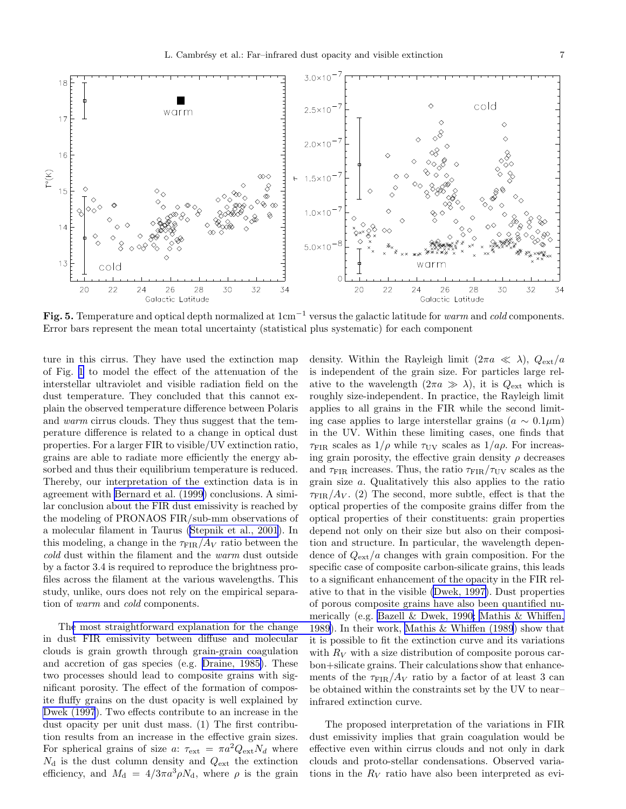<span id="page-6-0"></span>

Fig. 5. Temperature and optical depth normalized at 1cm<sup>−</sup><sup>1</sup> versus the galactic latitude for warm and cold components. Error bars represent the mean total uncertainty (statistical plus systematic) for each component

ture in this cirrus. They have used the extinction map of Fig. [1](#page-1-0) to model the effect of the attenuation of the interstellar ultraviolet and visible radiation field on the dust temperature. They concluded that this cannot explain the observed temperature difference between Polaris and warm cirrus clouds. They thus suggest that the temperature difference is related to a change in optical dust properties. For a larger FIR to visible/UV extinction ratio, grains are able to radiate more efficiently the energy absorbed and thus their equilibrium temperature is reduced. Thereby, our interpretation of the extinction data is in agreement with [Bernard et al. \(1999\)](#page-8-0) conclusions. A similar conclusion about the FIR dust emissivity is reached by the modeling of PRONAOS FIR/sub-mm observations of a molecular filament in Taurus([Stepnik et al., 2001](#page-8-0)). In this modeling, a change in the  $\tau_{\text{FIR}}/A_V$  ratio between the cold dust within the filament and the warm dust outside by a factor 3.4 is required to reproduce the brightness profiles across the filament at the various wavelengths. This study, unlike, ours does not rely on the empirical separation of warm and cold components.

Th[e most straightforward explanation for the change](#page-8-0) in dust FIR emissivity between diffuse and molecular clouds is grain growth through grain-grain coagulation and accretion of gas species (e.g. [Draine, 1985\)](#page-8-0). These two processes should lead to composite grains with significant porosity. The effect of the formation of composite fluffy grains on the dust opacity is well explained by [Dwek \(1997](#page-8-0)). Two effects contribute to an increase in the dust opacity per unit dust mass. (1) The first contribution results from an increase in the effective grain sizes. For spherical grains of size a:  $\tau_{ext} = \pi a^2 Q_{ext} N_d$  where  $N_{\rm d}$  is the dust column density and  $Q_{\rm ext}$  the extinction efficiency, and  $M_d = 4/3\pi a^3 \rho N_d$ , where  $\rho$  is the grain

density. Within the Rayleigh limit  $(2\pi a \ll \lambda)$ ,  $Q_{\text{ext}}/a$ is independent of the grain size. For particles large relative to the wavelength  $(2\pi a \gg \lambda)$ , it is  $Q_{\text{ext}}$  which is roughly size-independent. In practice, the Rayleigh limit applies to all grains in the FIR while the second limiting case applies to large interstellar grains ( $a \sim 0.1 \mu m$ ) in the UV. Within these limiting cases, one finds that  $\tau_{\text{FIR}}$  scales as  $1/\rho$  while  $\tau_{\text{UV}}$  scales as  $1/a\rho$ . For increasing grain porosity, the effective grain density  $\rho$  decreases and  $\tau_{\text{FIR}}$  increases. Thus, the ratio  $\tau_{\text{FIR}}/\tau_{\text{UV}}$  scales as the grain size a. Qualitatively this also applies to the ratio  $\tau_{\text{FIR}}/A_V$ . (2) The second, more subtle, effect is that the optical properties of the composite grains differ from the optical properties of their constituents: grain properties depend not only on their size but also on their composition and structure. In particular, the wavelength dependence of  $Q_{\text{ext}}/a$  changes with grain composition. For the specific case of composite carbon-silicate grains, this leads to a significant enhancement of the opacity in the FIR relative to that in the visible [\(Dwek, 1997\)](#page-8-0). Dust properties of porous composite grains have also been quantified numerically (e.g. [Bazell & Dwek, 1990; Mathis & Whiffen,](#page-8-0) 1989). In their work, [Mathis & Whiffen \(1989](#page-8-0)) show that it is possible to fit the extinction curve and its variations with  $R_V$  with a size distribution of composite porous carbon+silicate grains. Their calculations show that enhancements of the  $\tau_{\text{FIR}}/A_V$  ratio by a factor of at least 3 can be obtained within the constraints set by the UV to near– infrared extinction curve.

The proposed interpretation of the variations in FIR dust emissivity implies that grain coagulation would be effective even within cirrus clouds and not only in dark clouds and proto-stellar condensations. Observed variations in the  $R_V$  ratio have also been interpreted as evi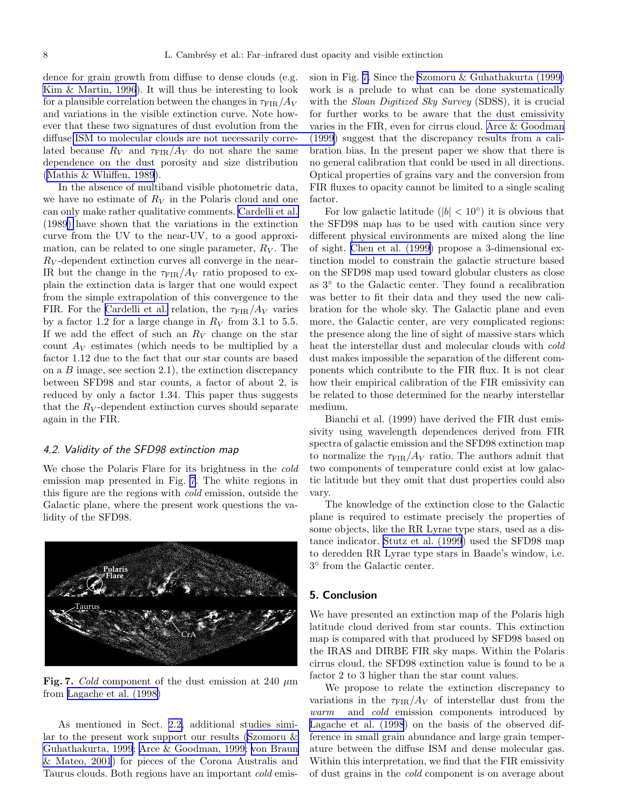<span id="page-7-0"></span>dence for grain growth from diffuse to dense clouds (e.g. [Kim & Martin, 1996](#page-8-0)). It will thus be interesting to look for a plausible correlation between the changes in  $\tau_{\text{FIR}}/A_V$ and variations in the visible extinction curve. Note however that these two signatures of dust evolution from the diffuse [ISM to molecular clouds are not necessarily corre](#page-8-0)lated because  $R_V$  and  $\tau_{\text{FIR}}/A_V$  do not share the same dependence on the dust porosity and size distribution ([Mathis & Whiffen, 1989](#page-8-0)).

In the absence of multiband visible photometric data, we have no estimate of  $R_V$  in the Polaris cloud and one can only make rather qualitative comments. [Cardelli et al.](#page-8-0) (198[9\)](#page-8-0) have shown that the variations in the extinction curve from the UV to the near-UV, to a good approximation, can be related to one single parameter,  $R_V$ . The  $R_V$ -dependent extinction curves all converge in the near-IR but the change in the  $\tau_{\text{FIR}}/A_V$  ratio proposed to explain the extinction data is larger that one would expect from the simple extrapolation of this convergence to the FIR. For the [Cardelli et al.](#page-8-0) relation, the  $\tau_{\text{FIR}}/A_V$  varies by a factor 1.2 for a large change in  $R_V$  from 3.1 to 5.5. If we add the effect of such an  $R_V$  change on the star count  $A_V$  estimates (which needs to be multiplied by a factor 1.12 due to the fact that our star counts are based on a  $B$  image, see section 2.1), the extinction discrepancy between SFD98 and star counts, a factor of about 2, is reduced by only a factor 1.34. This paper thus suggests that the  $R_V$ -dependent extinction curves should separate again in the FIR.

## 4.2. Validity of the SFD98 extinction map

We chose the Polaris Flare for its brightness in the cold emission map presented in Fig. 7. The white regions in this figure are the regions with cold emission, outside the Galactic plane, where the present work questions the validity of the SFD98.



Fig. 7. Cold component of the dust emission at 240  $\mu$ m from [Lagache et al. \(1998\)](#page-8-0)

As mentioned in Sect. [2.2,](#page-1-0) additional studies similar to the present work support our results [\(Szomoru &](#page-8-0) [Guhathakurta, 1999](#page-8-0); [Arce & Goodman, 1999; von Braun](#page-8-0) [& Mateo, 2001](#page-8-0)) for pieces of the Corona Australis and Taurus clouds. Both regions have an important cold emis-

sion in Fig. 7. Since the [Szomoru & Guhathakurta \(1999\)](#page-8-0) work is a prelude to what can be done systematically with the *Sloan Digitized Sky Survey* (SDSS), it is crucial for further works to be aware that the dust emissivity varies in the FIR, even for cirrus cloud. [Arce & Goodman](#page-8-0) (1999) suggest that the discrepancy results from a calibration bias. In the present paper we show that there is no general calibration that could be used in all directions. Optical properties of grains vary and the conversion from FIR fluxes to opacity cannot be limited to a single scaling factor.

For low galactic latitude ( $|b| < 10°$ ) it is obvious that the SFD98 map has to be used with caution since very different physical environments are mixed along the line of sight. [Chen et al. \(1999\)](#page-8-0) propose a 3-dimensional extinction model to constrain the galactic structure based on the SFD98 map used toward globular clusters as close as 3◦ to the Galactic center. They found a recalibration was better to fit their data and they used the new calibration for the whole sky. The Galactic plane and even more, the Galactic center, are very complicated regions: the presence along the line of sight of massive stars which heat the interstellar dust and molecular clouds with cold dust makes impossible the separation of the different components which contribute to the FIR flux. It is not clear how their empirical calibration of the FIR emissivity can be related to those determined for the nearby interstellar medium.

Bianchi et al. (1999) have derived the FIR dust emissivity using wavelength dependences derived from FIR spectra of galactic emission and the SFD98 extinction map to normalize the  $\tau_{\text{FIR}}/A_V$  ratio. The authors admit that two components of temperature could exist at low galactic latitude but they omit that dust properties could also vary.

The knowledge of the extinction close to the Galactic plane is required to estimate precisely the properties of some objects, like the RR Lyrae type stars, used as a distance indicator. [Stutz et al. \(1999](#page-8-0)) used the SFD98 map to deredden RR Lyrae type stars in Baade's window, i.e. 3 ◦ from the Galactic center.

## 5. Conclusion

We have presented an extinction map of the Polaris high latitude cloud derived from star counts. This extinction map is compared with that produced by SFD98 based on the IRAS and DIRBE FIR sky maps. Within the Polaris cirrus cloud, the SFD98 extinction value is found to be a factor 2 to 3 higher than the star count values.

We propose to relate the extinction discrepancy to variations in the  $\tau_{\text{FIR}}/A_V$  of interstellar dust from the warm and cold emission components introduced by [Lagache et al. \(1998](#page-8-0)) on the basis of the observed difference in small grain abundance and large grain temperature between the diffuse ISM and dense molecular gas. Within this interpretation, we find that the FIR emissivity of dust grains in the cold component is on average about